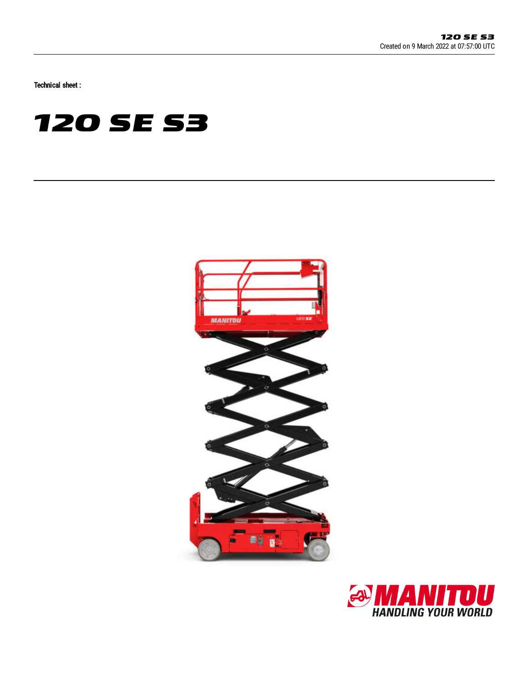Technical sheet :

# **120 SE S3**



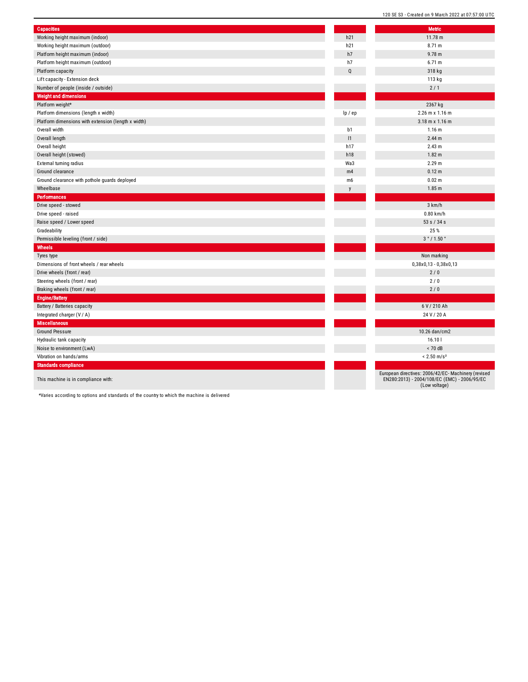| <b>Capacities</b>                                   |                | <b>Metric</b>                                                                                                        |
|-----------------------------------------------------|----------------|----------------------------------------------------------------------------------------------------------------------|
| Working height maximum (indoor)                     | h21            | 11.78 m                                                                                                              |
| Working height maximum (outdoor)                    | h21            | 8.71 m                                                                                                               |
| Platform height maximum (indoor)                    | h7             | $9.78$ m                                                                                                             |
| Platform height maximum (outdoor)                   | h7             | 6.71 m                                                                                                               |
| Platform capacity                                   | Q              | 318 kg                                                                                                               |
| Lift capacity - Extension deck                      |                | 113 kg                                                                                                               |
| Number of people (inside / outside)                 |                | 2/1                                                                                                                  |
| <b>Weight and dimensions</b>                        |                |                                                                                                                      |
| Platform weight*                                    |                | 2367 kg                                                                                                              |
| Platform dimensions (length x width)                | lp / ep        | 2.26 m x 1.16 m                                                                                                      |
| Platform dimensions with extension (length x width) |                | $3.18$ m x $1.16$ m                                                                                                  |
| Overall width                                       | b1             | 1.16 <sub>m</sub>                                                                                                    |
| Overall length                                      | 1              | 2.44 <sub>m</sub>                                                                                                    |
| Overall height                                      | h17            | 2.43 m                                                                                                               |
| Overall height (stowed)                             | h18            | 1.82 <sub>m</sub>                                                                                                    |
| External turning radius                             | Wa3            | 2.29 <sub>m</sub>                                                                                                    |
| Ground clearance                                    | m4             | 0.12 <sub>m</sub>                                                                                                    |
| Ground clearance with pothole guards deployed       | m <sub>6</sub> | 0.02 m                                                                                                               |
| Wheelbase                                           |                | 1.85 <sub>m</sub>                                                                                                    |
| <b>Performances</b>                                 |                |                                                                                                                      |
| Drive speed - stowed                                |                | 3 km/h                                                                                                               |
| Drive speed - raised                                |                | $0.80$ km/h                                                                                                          |
| Raise speed / Lower speed                           |                | 53 s / 34 s                                                                                                          |
| Gradeability                                        |                | 25%                                                                                                                  |
| Permissible leveling (front / side)                 |                | 3°/1.50°                                                                                                             |
| Wheels                                              |                |                                                                                                                      |
| Tyres type                                          |                | Non marking                                                                                                          |
| Dimensions of front wheels / rear wheels            |                | $0,38x0,13 - 0,38x0,13$                                                                                              |
| Drive wheels (front / rear)                         |                | 2/0                                                                                                                  |
| Steering wheels (front / rear)                      |                | 2/0                                                                                                                  |
| Braking wheels (front / rear)                       |                | 2/0                                                                                                                  |
| <b>Engine/Battery</b>                               |                |                                                                                                                      |
| Battery / Batteries capacity                        |                | 6 V / 210 Ah                                                                                                         |
| Integrated charger (V / A)                          |                | 24 V / 20 A                                                                                                          |
| <b>Miscellaneous</b>                                |                |                                                                                                                      |
| <b>Ground Pressure</b>                              |                | 10.26 dan/cm2                                                                                                        |
| Hydraulic tank capacity                             |                | 16.101                                                                                                               |
| Noise to environment (LwA)                          |                | $< 70$ dB                                                                                                            |
| Vibration on hands/arms                             |                | $< 2.50$ m/s <sup>2</sup>                                                                                            |
| <b>Standards compliance</b>                         |                |                                                                                                                      |
| This machine is in compliance with:                 |                | European directives: 2006/42/EC- Machinery (revised<br>EN280:2013) - 2004/108/EC (EMC) - 2006/95/EC<br>(Low voltage) |

120 SE S3 - Created on 9 March 2022 at 07:57:00 UTC

\*Varies according to options and standards of the country to which the machine is delivered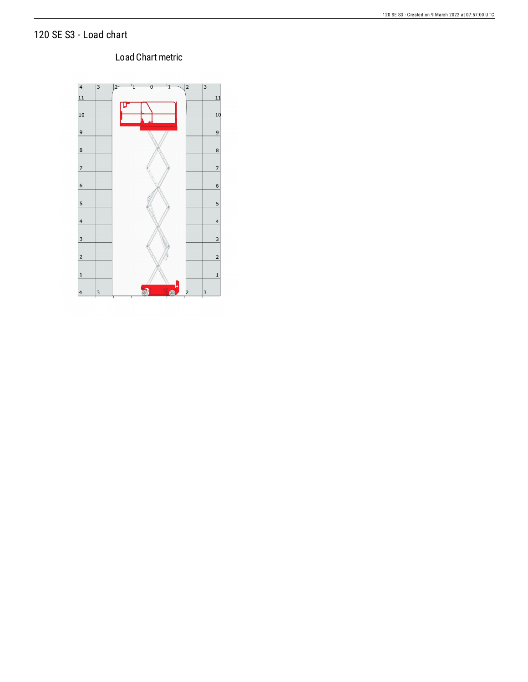## 120 SE S3 - Load chart

### 120 SE S3 - Created on 9 March 2022 at 07:57:00 UTC

### Load Chart metric

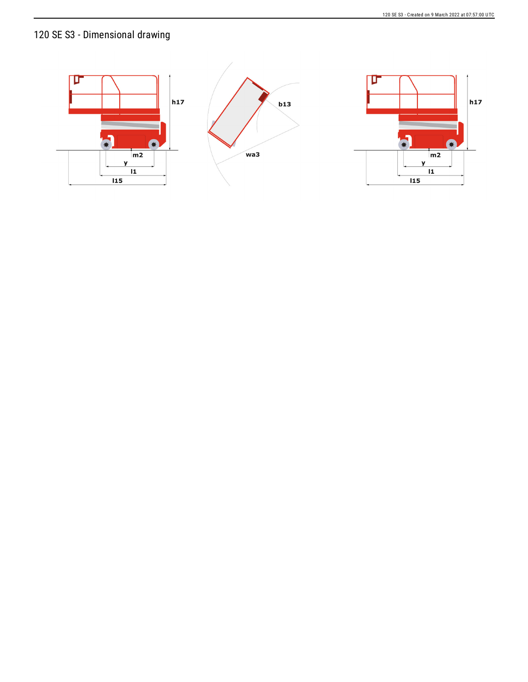# 120 SE S3 - Dimensional drawing

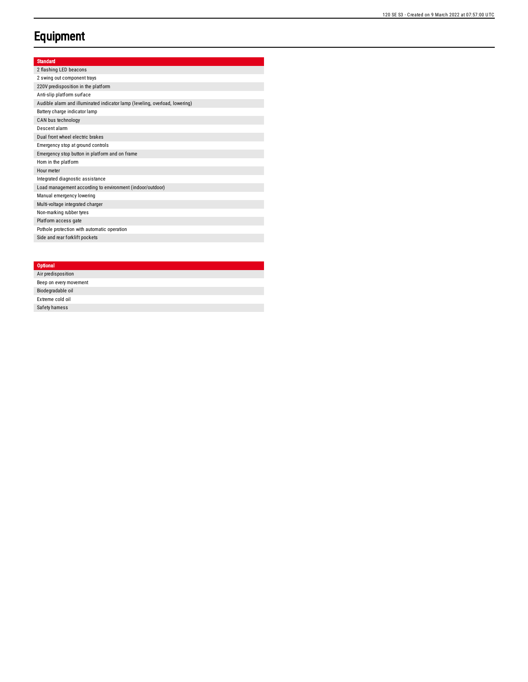# **Equipment**

### Standard

2 flashing LED beacons 2 swing out component trays 220V predisposition in the platform Anti-slip platform surface Audible alarm and illuminated indicator lamp (leveling, overload, lowering) Battery charge indicator lamp CAN bus technology Descent alarm Dual front wheel electric brakes Emergency stop at ground controls Emergency stop button in platform and on frame Hom in the platform Hour meter Integrated diagnostic assistance Load management according to environment (indoor/outdoor) Manual emergency lowering Multi-voltage integrated charger Non-marking rubber tyres Platform access gate Pothole protection with automatic operation Side and rear forklift pockets

#### **Optional**

| Air predisposition     |  |
|------------------------|--|
| Beep on every movement |  |
| Biodegradable oil      |  |
| Extreme cold oil       |  |
| Safety hamess          |  |
|                        |  |